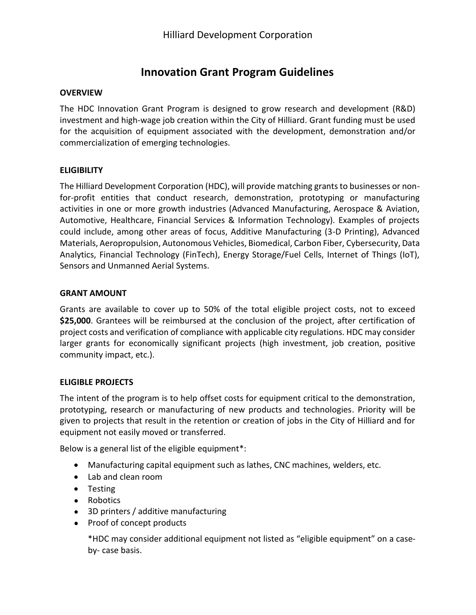# **Innovation Grant Program Guidelines**

## **OVERVIEW**

The HDC Innovation Grant Program is designed to grow research and development (R&D) investment and high-wage job creation within the City of Hilliard. Grant funding must be used for the acquisition of equipment associated with the development, demonstration and/or commercialization of emerging technologies.

## **ELIGIBILITY**

The Hilliard Development Corporation (HDC), will provide matching grants to businesses or nonfor-profit entities that conduct research, demonstration, prototyping or manufacturing activities in one or more growth industries (Advanced Manufacturing, Aerospace & Aviation, Automotive, Healthcare, Financial Services & Information Technology). Examples of projects could include, among other areas of focus, Additive Manufacturing (3-D Printing), Advanced Materials, Aeropropulsion, Autonomous Vehicles, Biomedical, Carbon Fiber, Cybersecurity, Data Analytics, Financial Technology (FinTech), Energy Storage/Fuel Cells, Internet of Things (IoT), Sensors and Unmanned Aerial Systems.

#### **GRANT AMOUNT**

Grants are available to cover up to 50% of the total eligible project costs, not to exceed **\$25,000**. Grantees will be reimbursed at the conclusion of the project, after certification of project costs and verification of compliance with applicable city regulations. HDC may consider larger grants for economically significant projects (high investment, job creation, positive community impact, etc.).

#### **ELIGIBLE PROJECTS**

The intent of the program is to help offset costs for equipment critical to the demonstration, prototyping, research or manufacturing of new products and technologies. Priority will be given to projects that result in the retention or creation of jobs in the City of Hilliard and for equipment not easily moved or transferred.

Below is a general list of the eligible equipment\*:

- Manufacturing capital equipment such as lathes, CNC machines, welders, etc.
- Lab and clean room
- Testing
- Robotics
- 3D printers / additive manufacturing
- Proof of concept products

\*HDC may consider additional equipment not listed as "eligible equipment" on a caseby- case basis.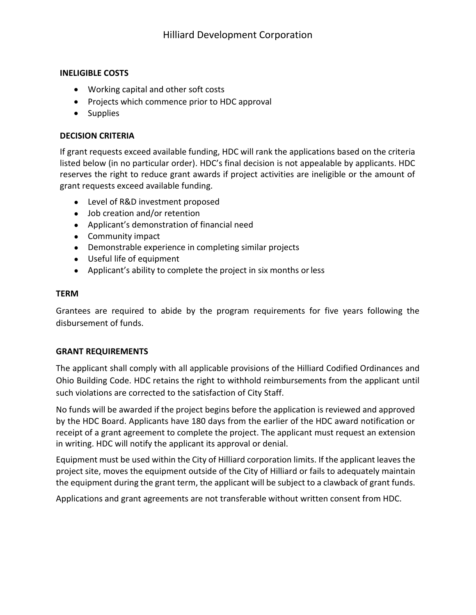## **INELIGIBLE COSTS**

- Working capital and other soft costs
- Projects which commence prior to HDC approval
- Supplies

# **DECISION CRITERIA**

If grant requests exceed available funding, HDC will rank the applications based on the criteria listed below (in no particular order). HDC's final decision is not appealable by applicants. HDC reserves the right to reduce grant awards if project activities are ineligible or the amount of grant requests exceed available funding.

- Level of R&D investment proposed
- Job creation and/or retention
- Applicant's demonstration of financial need
- Community impact
- Demonstrable experience in completing similar projects
- Useful life of equipment
- Applicant's ability to complete the project in six months orless

#### **TERM**

Grantees are required to abide by the program requirements for five years following the disbursement of funds.

#### **GRANT REQUIREMENTS**

The applicant shall comply with all applicable provisions of the Hilliard Codified Ordinances and Ohio Building Code. HDC retains the right to withhold reimbursements from the applicant until such violations are corrected to the satisfaction of City Staff.

No funds will be awarded if the project begins before the application is reviewed and approved by the HDC Board. Applicants have 180 days from the earlier of the HDC award notification or receipt of a grant agreement to complete the project. The applicant must request an extension in writing. HDC will notify the applicant its approval or denial.

Equipment must be used within the City of Hilliard corporation limits. If the applicant leaves the project site, moves the equipment outside of the City of Hilliard or fails to adequately maintain the equipment during the grant term, the applicant will be subject to a clawback of grant funds.

Applications and grant agreements are not transferable without written consent from HDC.